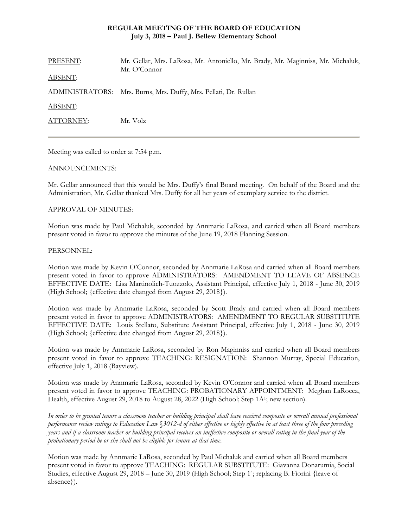## **REGULAR MEETING OF THE BOARD OF EDUCATION July 3, 2018 – Paul J. Bellew Elementary School**

| PRESENT:        | Mr. Gellar, Mrs. LaRosa, Mr. Antoniello, Mr. Brady, Mr. Maginniss, Mr. Michaluk,<br>Mr. O'Connor |
|-----------------|--------------------------------------------------------------------------------------------------|
| <b>ABSENT:</b>  |                                                                                                  |
| ADMINISTRATORS: | Mrs. Burns, Mrs. Duffy, Mrs. Pellati, Dr. Rullan                                                 |
| <b>ABSENT:</b>  |                                                                                                  |
| ATTORNEY:       | Mr. Volz                                                                                         |
|                 |                                                                                                  |

Meeting was called to order at 7:54 p.m.

## ANNOUNCEMENTS:

Mr. Gellar announced that this would be Mrs. Duffy's final Board meeting. On behalf of the Board and the Administration, Mr. Gellar thanked Mrs. Duffy for all her years of exemplary service to the district.

## APPROVAL OF MINUTES:

Motion was made by Paul Michaluk, seconded by Annmarie LaRosa, and carried when all Board members present voted in favor to approve the minutes of the June 19, 2018 Planning Session.

#### PERSONNEL:

Motion was made by Kevin O'Connor, seconded by Annmarie LaRosa and carried when all Board members present voted in favor to approve ADMINISTRATORS: AMENDMENT TO LEAVE OF ABSENCE EFFECTIVE DATE: Lisa Martinolich-Tuozzolo, Assistant Principal, effective July 1, 2018 - June 30, 2019 (High School; {effective date changed from August 29, 2018}).

Motion was made by Annmarie LaRosa, seconded by Scott Brady and carried when all Board members present voted in favor to approve ADMINISTRATORS: AMENDMENT TO REGULAR SUBSTITUTE EFFECTIVE DATE: Louis Stellato, Substitute Assistant Principal, effective July 1, 2018 - June 30, 2019 (High School; {effective date changed from August 29, 2018}).

Motion was made by Annmarie LaRosa, seconded by Ron Maginniss and carried when all Board members present voted in favor to approve TEACHING: RESIGNATION: Shannon Murray, Special Education, effective July 1, 2018 (Bayview).

Motion was made by Annmarie LaRosa, seconded by Kevin O'Connor and carried when all Board members present voted in favor to approve TEACHING: PROBATIONARY APPOINTMENT: Meghan LaRocca, Health, effective August 29, 2018 to August 28, 2022 (High School; Step 1A1; new section).

*In order to be granted tenure a classroom teacher or building principal shall have received composite or overall annual professional performance review ratings to Education Law* §*3012-d of either effective or highly effective in at least three of the four preceding years and if a classroom teacher or building principal receives an ineffective composite or overall rating in the final year of the probationary period he or she shall not be eligible for tenure at that time.* 

Motion was made by Annmarie LaRosa, seconded by Paul Michaluk and carried when all Board members present voted in favor to approve TEACHING: REGULAR SUBSTITUTE: Giavanna Donarumia, Social Studies, effective August 29, 2018 – June 30, 2019 (High School; Step 14; replacing B. Fiorini {leave of absence}).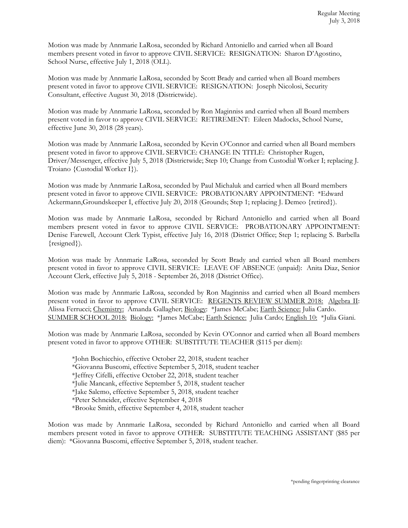Motion was made by Annmarie LaRosa, seconded by Richard Antoniello and carried when all Board members present voted in favor to approve CIVIL SERVICE: RESIGNATION: Sharon D'Agostino, School Nurse, effective July 1, 2018 (OLL).

Motion was made by Annmarie LaRosa, seconded by Scott Brady and carried when all Board members present voted in favor to approve CIVIL SERVICE: RESIGNATION: Joseph Nicolosi, Security Consultant, effective August 30, 2018 (Districtwide).

Motion was made by Annmarie LaRosa, seconded by Ron Maginniss and carried when all Board members present voted in favor to approve CIVIL SERVICE: RETIREMENT: Eileen Madocks, School Nurse, effective June 30, 2018 (28 years).

Motion was made by Annmarie LaRosa, seconded by Kevin O'Connor and carried when all Board members present voted in favor to approve CIVIL SERVICE: CHANGE IN TITLE: Christopher Rugen, Driver/Messenger, effective July 5, 2018 (Districtwide; Step 10; Change from Custodial Worker I; replacing J. Troiano {Custodial Worker I}).

Motion was made by Annmarie LaRosa, seconded by Paul Michaluk and carried when all Board members present voted in favor to approve CIVIL SERVICE: PROBATIONARY APPOINTMENT: \*Edward Ackermann,Groundskeeper I, effective July 20, 2018 (Grounds; Step 1; replacing J. Demeo {retired}).

Motion was made by Annmarie LaRosa, seconded by Richard Antoniello and carried when all Board members present voted in favor to approve CIVIL SERVICE: PROBATIONARY APPOINTMENT: Denise Farewell, Account Clerk Typist, effective July 16, 2018 (District Office; Step 1; replacing S. Barbella {resigned}).

Motion was made by Annmarie LaRosa, seconded by Scott Brady and carried when all Board members present voted in favor to approve CIVIL SERVICE: LEAVE OF ABSENCE (unpaid): Anita Diaz, Senior Account Clerk, effective July 5, 2018 - September 26, 2018 (District Office).

Motion was made by Annmarie LaRosa, seconded by Ron Maginniss and carried when all Board members present voted in favor to approve CIVIL SERVICE: REGENTS REVIEW SUMMER 2018: Algebra II: Alissa Ferrucci; Chemistry: Amanda Gallagher; Biology: \*James McCabe; Earth Science: Julia Cardo. SUMMER SCHOOL 2018: Biology: \*James McCabe; Earth Science: Julia Cardo; English 10: \*Julia Giani.

Motion was made by Annmarie LaRosa, seconded by Kevin O'Connor and carried when all Board members present voted in favor to approve OTHER: SUBSTITUTE TEACHER (\$115 per diem):

\*John Bochicchio, effective October 22, 2018, student teacher \*Giovanna Buscomi, effective September 5, 2018, student teacher \*Jeffrey Cifelli, effective October 22, 2018, student teacher \*Julie Mancank, effective September 5, 2018, student teacher \*Jake Salemo, effective September 5, 2018, student teacher \*Peter Schneider, effective September 4, 2018 \*Brooke Smith, effective September 4, 2018, student teacher

Motion was made by Annmarie LaRosa, seconded by Richard Antoniello and carried when all Board members present voted in favor to approve OTHER: SUBSTITUTE TEACHING ASSISTANT (\$85 per diem): \*Giovanna Buscomi, effective September 5, 2018, student teacher.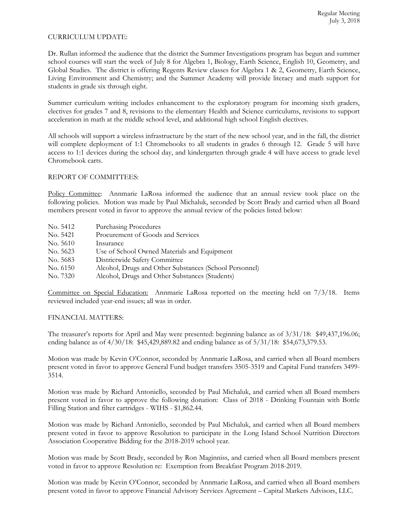## CURRICULUM UPDATE:

Dr. Rullan informed the audience that the district the Summer Investigations program has begun and summer school courses will start the week of July 8 for Algebra 1, Biology, Earth Science, English 10, Geometry, and Global Studies. The district is offering Regents Review classes for Algebra 1 & 2, Geometry, Earth Science, Living Environment and Chemistry; and the Summer Academy will provide literacy and math support for students in grade six through eight.

Summer curriculum writing includes enhancement to the exploratory program for incoming sixth graders, electives for grades 7 and 8, revisions to the elementary Health and Science curriculums, revisions to support acceleration in math at the middle school level, and additional high school English electives.

All schools will support a wireless infrastructure by the start of the new school year, and in the fall, the district will complete deployment of 1:1 Chromebooks to all students in grades 6 through 12. Grade 5 will have access to 1:1 devices during the school day, and kindergarten through grade 4 will have access to grade level Chromebook carts.

# REPORT OF COMMITTEES:

Policy Committee: Annmarie LaRosa informed the audience that an annual review took place on the following policies. Motion was made by Paul Michaluk, seconded by Scott Brady and carried when all Board members present voted in favor to approve the annual review of the policies listed below:

| No. 5412 | <b>Purchasing Procedures</b>                           |
|----------|--------------------------------------------------------|
| No. 5421 | Procurement of Goods and Services                      |
| No. 5610 | Insurance                                              |
| No. 5623 | Use of School Owned Materials and Equipment            |
| No. 5683 | Districtwide Safety Committee                          |
| No. 6150 | Alcohol, Drugs and Other Substances (School Personnel) |
| No. 7320 | Alcohol, Drugs and Other Substances (Students)         |

Committee on Special Education: Annmarie LaRosa reported on the meeting held on 7/3/18. Items reviewed included year-end issues; all was in order.

## FINANCIAL MATTERS:

The treasurer's reports for April and May were presented: beginning balance as of 3/31/18: \$49,437,196.06; ending balance as of 4/30/18: \$45,429,889.82 and ending balance as of 5/31/18: \$54,673,379.53.

Motion was made by Kevin O'Connor, seconded by Annmarie LaRosa, and carried when all Board members present voted in favor to approve General Fund budget transfers 3505-3519 and Capital Fund transfers 3499- 3514.

Motion was made by Richard Antoniello, seconded by Paul Michaluk, and carried when all Board members present voted in favor to approve the following donation: Class of 2018 - Drinking Fountain with Bottle Filling Station and filter cartridges - WIHS - \$1,862.44.

Motion was made by Richard Antoniello, seconded by Paul Michaluk, and carried when all Board members present voted in favor to approve Resolution to participate in the Long Island School Nutrition Directors Association Cooperative Bidding for the 2018-2019 school year.

Motion was made by Scott Brady, seconded by Ron Maginniss, and carried when all Board members present voted in favor to approve Resolution re: Exemption from Breakfast Program 2018-2019.

Motion was made by Kevin O'Connor, seconded by Annmarie LaRosa, and carried when all Board members present voted in favor to approve Financial Advisory Services Agreement – Capital Markets Advisors, LLC.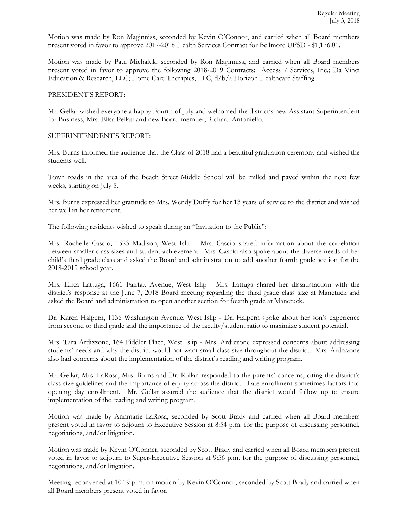Motion was made by Ron Maginniss, seconded by Kevin O'Connor, and carried when all Board members present voted in favor to approve 2017-2018 Health Services Contract for Bellmore UFSD - \$1,176.01.

Motion was made by Paul Michaluk, seconded by Ron Maginniss, and carried when all Board members present voted in favor to approve the following 2018-2019 Contracts: Access 7 Services, Inc.; Da Vinci Education & Research, LLC; Home Care Therapies, LLC, d/b/a Horizon Healthcare Staffing.

#### PRESIDENT'S REPORT:

Mr. Gellar wished everyone a happy Fourth of July and welcomed the district's new Assistant Superintendent for Business, Mrs. Elisa Pellati and new Board member, Richard Antoniello.

#### SUPERINTENDENT'S REPORT:

Mrs. Burns informed the audience that the Class of 2018 had a beautiful graduation ceremony and wished the students well.

Town roads in the area of the Beach Street Middle School will be milled and paved within the next few weeks, starting on July 5.

Mrs. Burns expressed her gratitude to Mrs. Wendy Duffy for her 13 years of service to the district and wished her well in her retirement.

The following residents wished to speak during an "Invitation to the Public":

Mrs. Rochelle Cascio, 1523 Madison, West Islip - Mrs. Cascio shared information about the correlation between smaller class sizes and student achievement. Mrs. Cascio also spoke about the diverse needs of her child's third grade class and asked the Board and administration to add another fourth grade section for the 2018-2019 school year.

Mrs. Erica Lattuga, 1661 Fairfax Avenue, West Islip - Mrs. Lattuga shared her dissatisfaction with the district's response at the June 7, 2018 Board meeting regarding the third grade class size at Manetuck and asked the Board and administration to open another section for fourth grade at Manetuck.

Dr. Karen Halpern, 1136 Washington Avenue, West Islip - Dr. Halpern spoke about her son's experience from second to third grade and the importance of the faculty/student ratio to maximize student potential.

Mrs. Tara Ardizzone, 164 Fiddler Place, West Islip - Mrs. Ardizzone expressed concerns about addressing students' needs and why the district would not want small class size throughout the district. Mrs. Ardizzone also had concerns about the implementation of the district's reading and writing program.

Mr. Gellar, Mrs. LaRosa, Mrs. Burns and Dr. Rullan responded to the parents' concerns, citing the district's class size guidelines and the importance of equity across the district. Late enrollment sometimes factors into opening day enrollment. Mr. Gellar assured the audience that the district would follow up to ensure implementation of the reading and writing program.

Motion was made by Annmarie LaRosa, seconded by Scott Brady and carried when all Board members present voted in favor to adjourn to Executive Session at 8:54 p.m. for the purpose of discussing personnel, negotiations, and/or litigation.

Motion was made by Kevin O'Conner, seconded by Scott Brady and carried when all Board members present voted in favor to adjourn to Super-Executive Session at 9:56 p.m. for the purpose of discussing personnel, negotiations, and/or litigation.

Meeting reconvened at 10:19 p.m. on motion by Kevin O'Connor, seconded by Scott Brady and carried when all Board members present voted in favor.